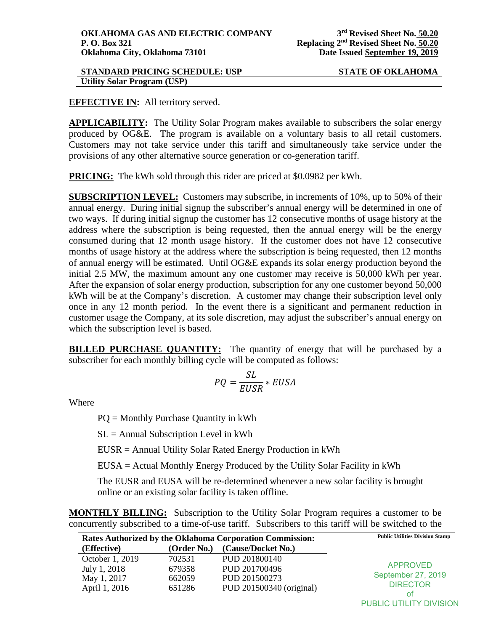## **STANDARD PRICING SCHEDULE: USP STATE OF OKLAHOMA Utility Solar Program (USP)**

# **EFFECTIVE IN:** All territory served.

**APPLICABILITY:** The Utility Solar Program makes available to subscribers the solar energy produced by OG&E. The program is available on a voluntary basis to all retail customers. Customers may not take service under this tariff and simultaneously take service under the provisions of any other alternative source generation or co-generation tariff.

**PRICING:** The kWh sold through this rider are priced at \$0.0982 per kWh.

**SUBSCRIPTION LEVEL:** Customers may subscribe, in increments of 10%, up to 50% of their annual energy. During initial signup the subscriber's annual energy will be determined in one of two ways. If during initial signup the customer has 12 consecutive months of usage history at the address where the subscription is being requested, then the annual energy will be the energy consumed during that 12 month usage history. If the customer does not have 12 consecutive months of usage history at the address where the subscription is being requested, then 12 months of annual energy will be estimated. Until OG&E expands its solar energy production beyond the initial 2.5 MW, the maximum amount any one customer may receive is 50,000 kWh per year. After the expansion of solar energy production, subscription for any one customer beyond 50,000 kWh will be at the Company's discretion. A customer may change their subscription level only once in any 12 month period. In the event there is a significant and permanent reduction in customer usage the Company, at its sole discretion, may adjust the subscriber's annual energy on which the subscription level is based.

**BILLED PURCHASE QUANTITY:** The quantity of energy that will be purchased by a subscriber for each monthly billing cycle will be computed as follows:

$$
PQ = \frac{SL}{EUSR} * EUSA
$$

Where

PQ = Monthly Purchase Quantity in kWh

 $SL =$  Annual Subscription Level in kWh

EUSR = Annual Utility Solar Rated Energy Production in kWh

EUSA = Actual Monthly Energy Produced by the Utility Solar Facility in kWh

The EUSR and EUSA will be re-determined whenever a new solar facility is brought online or an existing solar facility is taken offline.

**MONTHLY BILLING:** Subscription to the Utility Solar Program requires a customer to be concurrently subscribed to a time-of-use tariff. Subscribers to this tariff will be switched to the

| <b>Rates Authorized by the Oklahoma Corporation Commission:</b> | <b>Public Utilities Division Stamp</b> |                          |                                       |
|-----------------------------------------------------------------|----------------------------------------|--------------------------|---------------------------------------|
| (Effective)                                                     | (Order No.)                            | (Cause/Docket No.)       |                                       |
| October 1, 2019                                                 | 702531                                 | PUD 201800140            | <b>APPROVED</b><br>September 27, 2019 |
| July 1, 2018                                                    | 679358                                 | PUD 201700496            |                                       |
| May 1, 2017                                                     | 662059                                 | PUD 201500273            |                                       |
| April 1, 2016                                                   | 651286                                 | PUD 201500340 (original) | <b>DIRECTOR</b>                       |
|                                                                 |                                        |                          | ot                                    |

PUBLIC UTILITY DIVISION